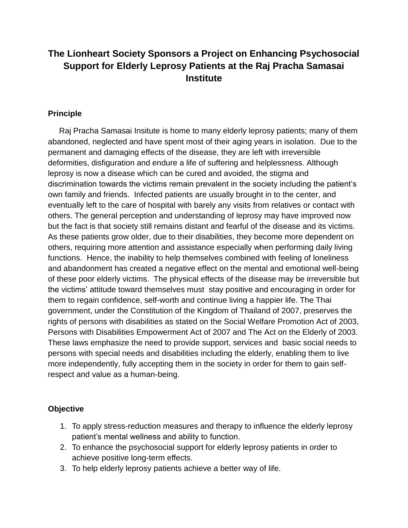## **The Lionheart Society Sponsors a Project on Enhancing Psychosocial Support for Elderly Leprosy Patients at the Raj Pracha Samasai Institute**

#### **Principle**

 Raj Pracha Samasai Insitute is home to many elderly leprosy patients; many of them abandoned, neglected and have spent most of their aging years in isolation. Due to the permanent and damaging effects of the disease, they are left with irreversible deformities, disfiguration and endure a life of suffering and helplessness. Although leprosy is now a disease which can be cured and avoided, the stigma and discrimination towards the victims remain prevalent in the society including the patient's own family and friends. Infected patients are usually brought in to the center, and eventually left to the care of hospital with barely any visits from relatives or contact with others. The general perception and understanding of leprosy may have improved now but the fact is that society still remains distant and fearful of the disease and its victims. As these patients grow older, due to their disabilities, they become more dependent on others, requiring more attention and assistance especially when performing daily living functions. Hence, the inability to help themselves combined with feeling of loneliness and abandonment has created a negative effect on the mental and emotional well-being of these poor elderly victims. The physical effects of the disease may be irreversible but the victims' attitude toward themselves must stay positive and encouraging in order for them to regain confidence, self-worth and continue living a happier life. The Thai government, under the Constitution of the Kingdom of Thailand of 2007, preserves the rights of persons with disabilities as stated on the Social Welfare Promotion Act of 2003, Persons with Disabilities Empowerment Act of 2007 and The Act on the Elderly of 2003. These laws emphasize the need to provide support, services and basic social needs to persons with special needs and disabilities including the elderly, enabling them to live more independently, fully accepting them in the society in order for them to gain selfrespect and value as a human-being.

#### **Objective**

- 1. To apply stress-reduction measures and therapy to influence the elderly leprosy patient's mental wellness and ability to function.
- 2. To enhance the psychosocial support for elderly leprosy patients in order to achieve positive long-term effects.
- 3. To help elderly leprosy patients achieve a better way of life.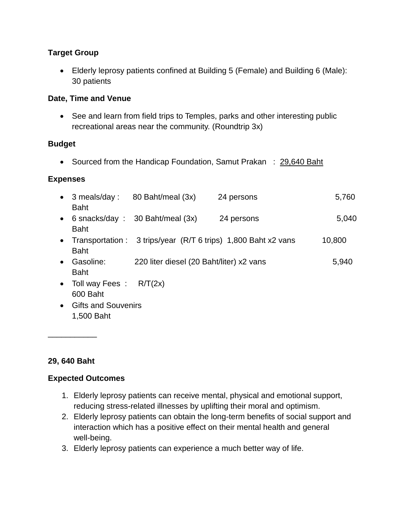#### **Target Group**

• Elderly leprosy patients confined at Building 5 (Female) and Building 6 (Male): 30 patients

#### **Date, Time and Venue**

• See and learn from field trips to Temples, parks and other interesting public recreational areas near the community. (Roundtrip 3x)

#### **Budget**

• Sourced from the Handicap Foundation, Samut Prakan : 29,640 Baht

#### **Expenses**

| $\bullet$ | 3 meals/day:<br><b>Baht</b>         | 80 Baht/meal (3x)                                                | 24 persons | 5,760  |
|-----------|-------------------------------------|------------------------------------------------------------------|------------|--------|
|           | <b>Baht</b>                         | • 6 snacks/day : 30 Baht/meal $(3x)$                             | 24 persons | 5,040  |
|           | <b>Baht</b>                         | • Transportation : 3 trips/year (R/T 6 trips) 1,800 Baht x2 vans |            | 10,800 |
| $\bullet$ | Gasoline:<br><b>Baht</b>            | 220 liter diesel (20 Baht/liter) x2 vans                         |            | 5,940  |
| $\bullet$ | Toll way Fees:<br>$0.00 \text{ mm}$ | R/T(2x)                                                          |            |        |

600 Baht • Gifts and Souvenirs

1,500 Baht

#### **29, 640 Baht**

\_\_\_\_\_\_\_\_\_\_\_

#### **Expected Outcomes**

- 1. Elderly leprosy patients can receive mental, physical and emotional support, reducing stress-related illnesses by uplifting their moral and optimism.
- 2. Elderly leprosy patients can obtain the long-term benefits of social support and interaction which has a positive effect on their mental health and general well-being.
- 3. Elderly leprosy patients can experience a much better way of life.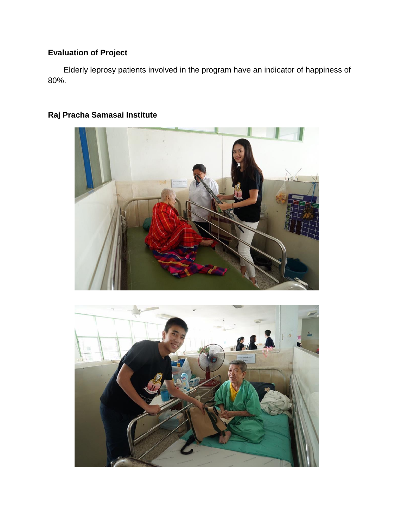## **Evaluation of Project**

 Elderly leprosy patients involved in the program have an indicator of happiness of 80%.



## **Raj Pracha Samasai Institute**

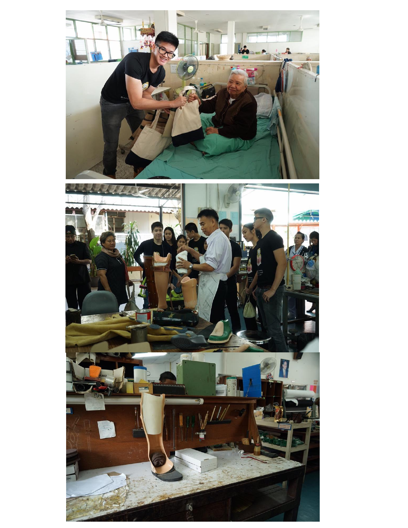